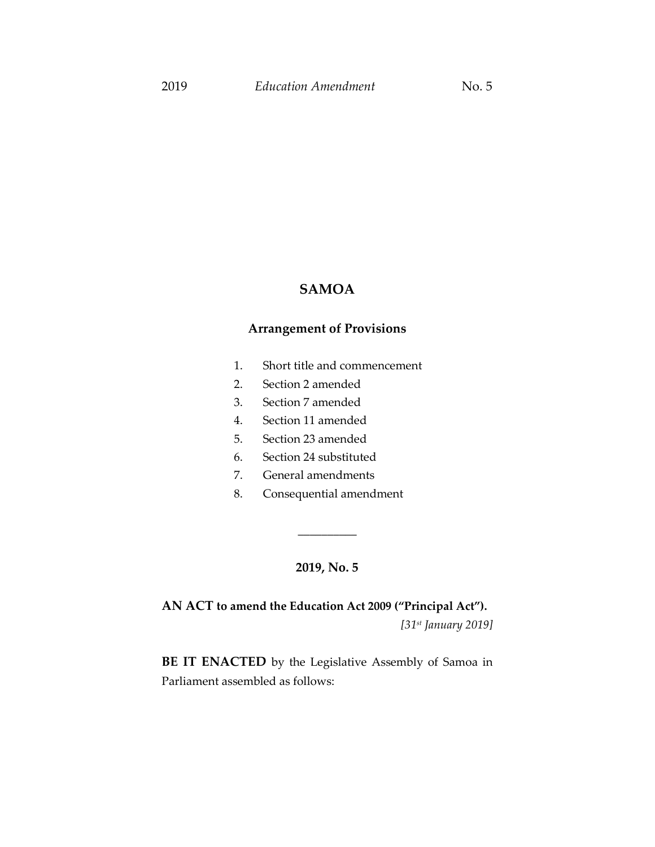# **SAMOA**

# **Arrangement of Provisions**

- 1. Short title and commencement
- 2. Section 2 amended
- 3. Section 7 amended
- 4. Section 11 amended
- 5. Section 23 amended
- 6. Section 24 substituted
- 7. General amendments
- 8. Consequential amendment

## **2019, No. 5**

\_\_\_\_\_\_\_\_\_\_

**AN ACT to amend the Education Act 2009 ("Principal Act").**

*[31st January 2019]*

**BE IT ENACTED** by the Legislative Assembly of Samoa in Parliament assembled as follows: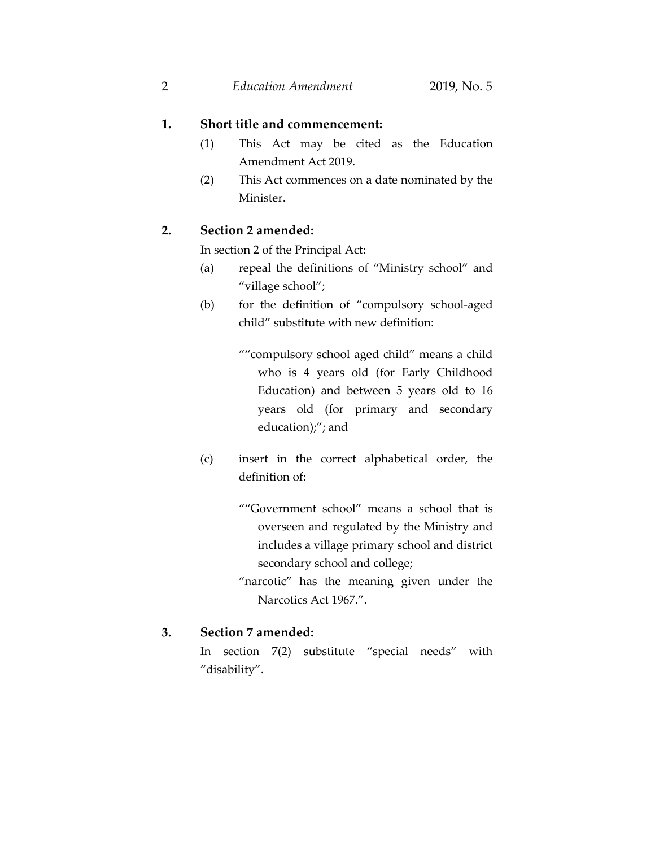2 *Education Amendment* 2019, No. 5

### **1. Short title and commencement:**

- (1) This Act may be cited as the Education Amendment Act 2019.
- (2) This Act commences on a date nominated by the Minister.

## **2. Section 2 amended:**

In section 2 of the Principal Act:

- (a) repeal the definitions of "Ministry school" and "village school";
- (b) for the definition of "compulsory school-aged child" substitute with new definition:

""compulsory school aged child" means a child who is 4 years old (for Early Childhood Education) and between 5 years old to 16 years old (for primary and secondary education);"; and

- (c) insert in the correct alphabetical order, the definition of:
	- ""Government school" means a school that is overseen and regulated by the Ministry and includes a village primary school and district secondary school and college;
	- "narcotic" has the meaning given under the Narcotics Act 1967.".

## **3. Section 7 amended:**

In section 7(2) substitute "special needs" with "disability".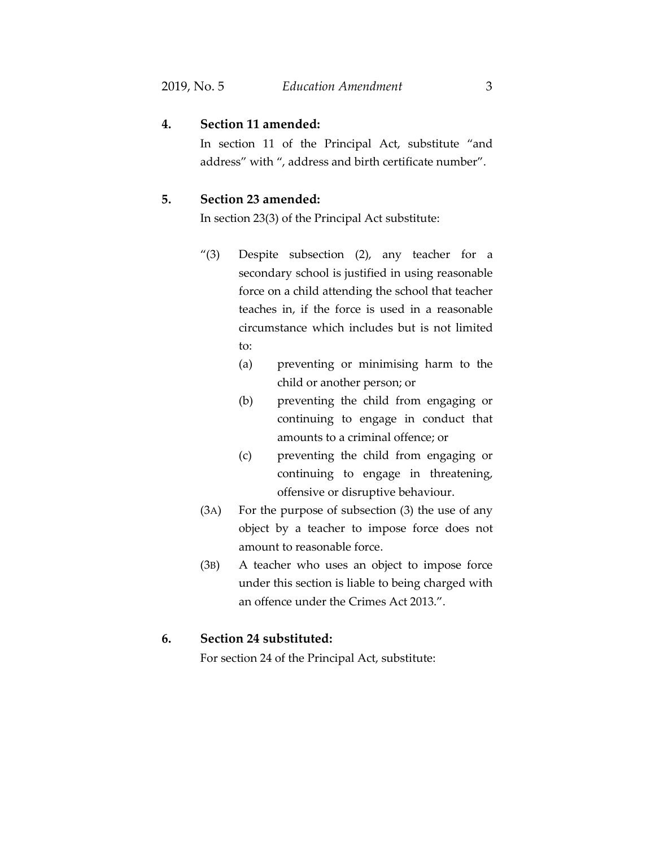## **4. Section 11 amended:**

In section 11 of the Principal Act, substitute "and address" with ", address and birth certificate number".

#### **5. Section 23 amended:**

In section 23(3) of the Principal Act substitute:

- "(3) Despite subsection (2), any teacher for a secondary school is justified in using reasonable force on a child attending the school that teacher teaches in, if the force is used in a reasonable circumstance which includes but is not limited to:
	- (a) preventing or minimising harm to the child or another person; or
	- (b) preventing the child from engaging or continuing to engage in conduct that amounts to a criminal offence; or
	- (c) preventing the child from engaging or continuing to engage in threatening, offensive or disruptive behaviour.
- (3A) For the purpose of subsection (3) the use of any object by a teacher to impose force does not amount to reasonable force.
- (3B) A teacher who uses an object to impose force under this section is liable to being charged with an offence under the Crimes Act 2013.".

#### **6. Section 24 substituted:**

For section 24 of the Principal Act, substitute: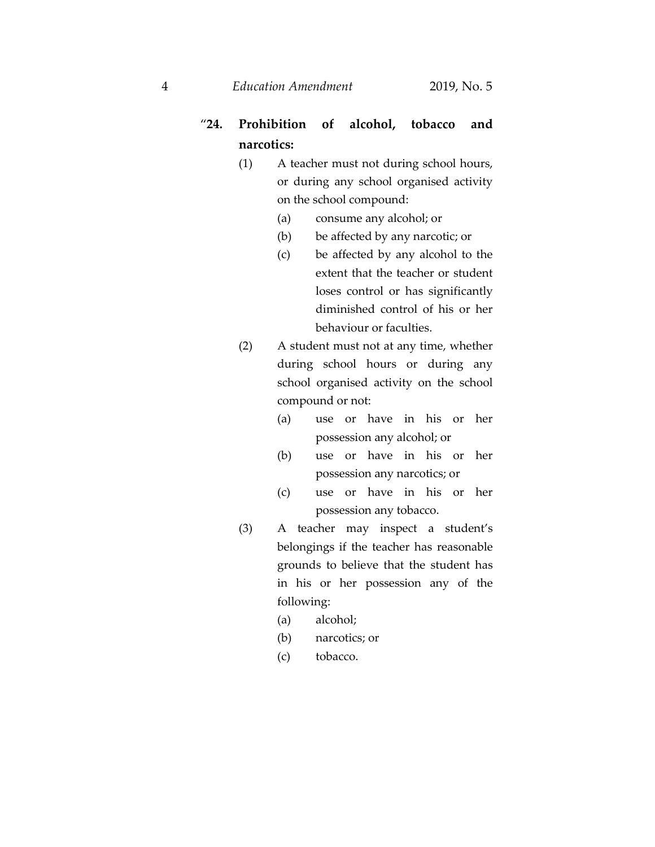4 *Education Amendment* 2019, No. 5

# "**24. Prohibition of alcohol, tobacco and narcotics:**

- (1) A teacher must not during school hours, or during any school organised activity on the school compound:
	- (a) consume any alcohol; or
	- (b) be affected by any narcotic; or
	- (c) be affected by any alcohol to the extent that the teacher or student loses control or has significantly diminished control of his or her behaviour or faculties.
- (2) A student must not at any time, whether during school hours or during any school organised activity on the school compound or not:
	- (a) use or have in his or her possession any alcohol; or
	- (b) use or have in his or her possession any narcotics; or
	- (c) use or have in his or her possession any tobacco.
- (3) A teacher may inspect a student's belongings if the teacher has reasonable grounds to believe that the student has in his or her possession any of the following:
	- (a) alcohol;
	- (b) narcotics; or
	- (c) tobacco.